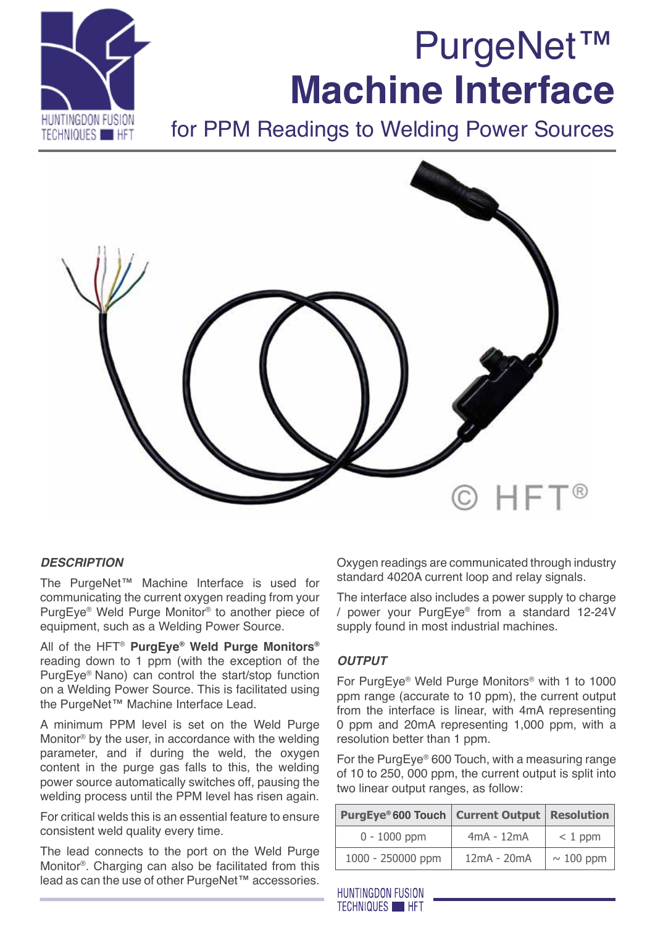# PurgeNet™ **Machine Interface**



for PPM Readings to Welding Power Sources



# *DESCRIPTION*

The PurgeNet™ Machine Interface is used for communicating the current oxygen reading from your PurgEye® Weld Purge Monitor® to another piece of equipment, such as a Welding Power Source.

All of the HFT® **PurgEye® Weld Purge Monitors®** reading down to 1 ppm (with the exception of the PurgEye® Nano) can control the start/stop function on a Welding Power Source. This is facilitated using the PurgeNet™ Machine Interface Lead.

A minimum PPM level is set on the Weld Purge Monitor® by the user, in accordance with the welding parameter, and if during the weld, the oxygen content in the purge gas falls to this, the welding power source automatically switches off, pausing the welding process until the PPM level has risen again.

For critical welds this is an essential feature to ensure consistent weld quality every time.

The lead connects to the port on the Weld Purge Monitor®. Charging can also be facilitated from this lead as can the use of other PurgeNet™ accessories.

Oxygen readings are communicated through industry standard 4020A current loop and relay signals.

The interface also includes a power supply to charge / power your PurgEye® from a standard 12-24V supply found in most industrial machines.

# *output*

For PurgEye® Weld Purge Monitors® with 1 to 1000 ppm range (accurate to 10 ppm), the current output from the interface is linear, with 4mA representing 0 ppm and 20mA representing 1,000 ppm, with a resolution better than 1 ppm.

For the PurgEye® 600 Touch, with a measuring range of 10 to 250, 000 ppm, the current output is split into two linear output ranges, as follow:

| <b>PurgEye® 600 Touch   Current Output</b> |              | <b>Resolution</b> |
|--------------------------------------------|--------------|-------------------|
| $0 - 1000$ ppm                             | $4mA - 12mA$ | $< 1$ ppm         |
| 1000 - 250000 ppm                          | 12mA - 20mA  | $\sim$ 100 ppm    |

**HUNTINGDON FUSION TECHNIQUES HET**